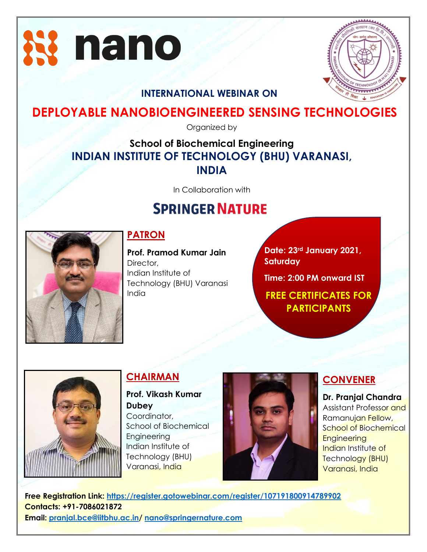



### **INTERNATIONAL WEBINAR ON**

## **DEPLOYABLE NANOBIOENGINEERED SENSING TECHNOLOGIES**

Organized by

## **School of Biochemical Engineering INDIAN INSTITUTE OF TECHNOLOGY (BHU) VARANASI, INDIA**

In Collaboration with

# **SPRINGER NATURE**



## **PATRON**

**Prof. Pramod Kumar Jain** Director, Indian Institute of Technology (BHU) Varanasi India

**Date: 23rd January 2021, Saturday**

**Time: 2:00 PM onward IST**

**FREE CERTIFICATES FOR PARTICIPANTS**



## **CHAIRMAN**

**Prof. Vikash Kumar Dubey** Coordinator, School of Biochemical **Engineering** Indian Institute of Technology (BHU) Varanasi, India



### **CONVENER**

**Dr. Pranjal Chandra** Assistant Professor and Ramanujan Fellow, School of Biochemical **Engineering** Indian Institute of Technology (BHU) Varanasi, India

**Free Registration Link:<https://register.gotowebinar.com/register/107191800914789902> Contacts: +91-7086021872 Email: [pranjal.bce@iitbhu.ac.in/](mailto:pranjal.bce@iitbhu.ac.in) [nano@springernature.com](mailto:nano@springernature.com)** Technology (BHU)